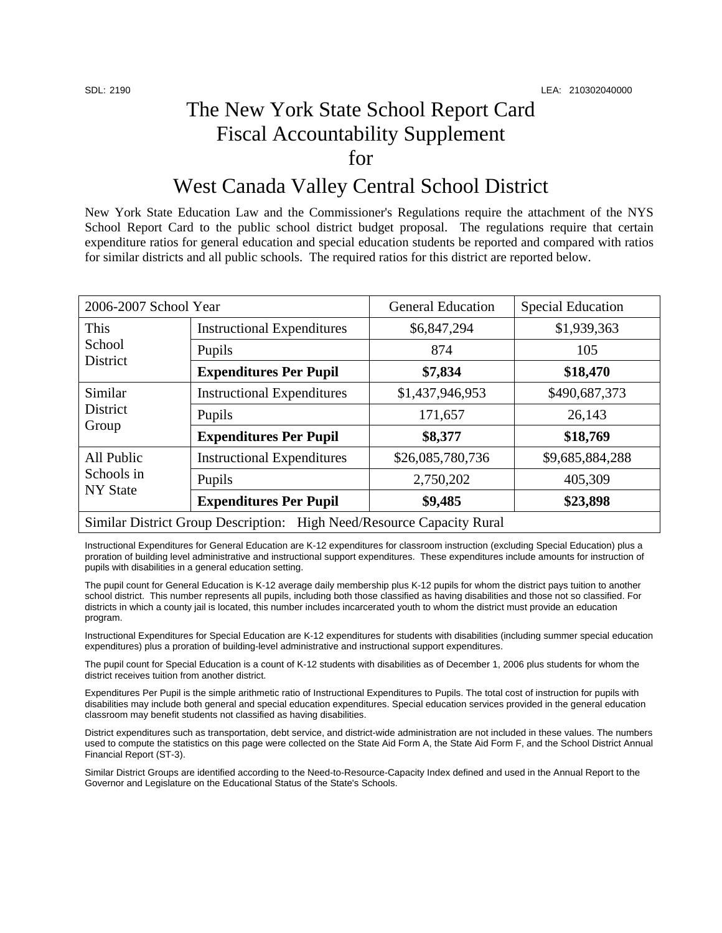## The New York State School Report Card Fiscal Accountability Supplement for

## West Canada Valley Central School District

New York State Education Law and the Commissioner's Regulations require the attachment of the NYS School Report Card to the public school district budget proposal. The regulations require that certain expenditure ratios for general education and special education students be reported and compared with ratios for similar districts and all public schools. The required ratios for this district are reported below.

| 2006-2007 School Year                                                 |                                   | <b>General Education</b> | <b>Special Education</b> |  |
|-----------------------------------------------------------------------|-----------------------------------|--------------------------|--------------------------|--|
| This<br>School<br>District                                            | <b>Instructional Expenditures</b> | \$6,847,294              | \$1,939,363              |  |
|                                                                       | Pupils                            | 874                      | 105                      |  |
|                                                                       | <b>Expenditures Per Pupil</b>     | \$7,834                  | \$18,470                 |  |
| Similar<br>District<br>Group                                          | <b>Instructional Expenditures</b> | \$1,437,946,953          | \$490,687,373            |  |
|                                                                       | Pupils                            | 171,657                  | 26,143                   |  |
|                                                                       | <b>Expenditures Per Pupil</b>     | \$8,377                  | \$18,769                 |  |
| All Public<br>Schools in<br><b>NY State</b>                           | <b>Instructional Expenditures</b> | \$26,085,780,736         | \$9,685,884,288          |  |
|                                                                       | Pupils                            | 2,750,202                | 405,309                  |  |
|                                                                       | <b>Expenditures Per Pupil</b>     | \$9,485                  | \$23,898                 |  |
| Similar District Group Description: High Need/Resource Capacity Rural |                                   |                          |                          |  |

Instructional Expenditures for General Education are K-12 expenditures for classroom instruction (excluding Special Education) plus a proration of building level administrative and instructional support expenditures. These expenditures include amounts for instruction of pupils with disabilities in a general education setting.

The pupil count for General Education is K-12 average daily membership plus K-12 pupils for whom the district pays tuition to another school district. This number represents all pupils, including both those classified as having disabilities and those not so classified. For districts in which a county jail is located, this number includes incarcerated youth to whom the district must provide an education program.

Instructional Expenditures for Special Education are K-12 expenditures for students with disabilities (including summer special education expenditures) plus a proration of building-level administrative and instructional support expenditures.

The pupil count for Special Education is a count of K-12 students with disabilities as of December 1, 2006 plus students for whom the district receives tuition from another district.

Expenditures Per Pupil is the simple arithmetic ratio of Instructional Expenditures to Pupils. The total cost of instruction for pupils with disabilities may include both general and special education expenditures. Special education services provided in the general education classroom may benefit students not classified as having disabilities.

District expenditures such as transportation, debt service, and district-wide administration are not included in these values. The numbers used to compute the statistics on this page were collected on the State Aid Form A, the State Aid Form F, and the School District Annual Financial Report (ST-3).

Similar District Groups are identified according to the Need-to-Resource-Capacity Index defined and used in the Annual Report to the Governor and Legislature on the Educational Status of the State's Schools.